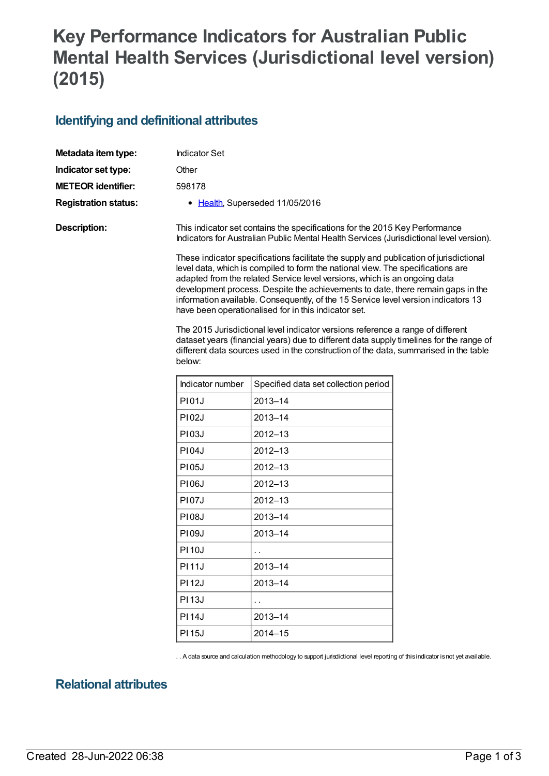## **Key Performance Indicators for Australian Public Mental Health Services (Jurisdictional level version) (2015)**

## **Identifying and definitional attributes**

| Metadata item type:         | <b>Indicator Set</b>                                                                                                                                                                                                                                                                                                                                                                                                                                                                                                                                                       |                                      |  |  |
|-----------------------------|----------------------------------------------------------------------------------------------------------------------------------------------------------------------------------------------------------------------------------------------------------------------------------------------------------------------------------------------------------------------------------------------------------------------------------------------------------------------------------------------------------------------------------------------------------------------------|--------------------------------------|--|--|
| Indicator set type:         | Other                                                                                                                                                                                                                                                                                                                                                                                                                                                                                                                                                                      |                                      |  |  |
| <b>METEOR</b> identifier:   | 598178                                                                                                                                                                                                                                                                                                                                                                                                                                                                                                                                                                     |                                      |  |  |
| <b>Registration status:</b> |                                                                                                                                                                                                                                                                                                                                                                                                                                                                                                                                                                            | • Health, Superseded 11/05/2016      |  |  |
| <b>Description:</b>         | This indicator set contains the specifications for the 2015 Key Performance<br>Indicators for Australian Public Mental Health Services (Jurisdictional level version).                                                                                                                                                                                                                                                                                                                                                                                                     |                                      |  |  |
|                             | These indicator specifications facilitate the supply and publication of jurisdictional<br>level data, which is compiled to form the national view. The specifications are<br>adapted from the related Service level versions, which is an ongoing data<br>development process. Despite the achievements to date, there remain gaps in the<br>information available. Consequently, of the 15 Service level version indicators 13<br>have been operationalised for in this indicator set.<br>The 2015 Jurisdictional level indicator versions reference a range of different |                                      |  |  |
|                             | dataset years (financial years) due to different data supply timelines for the range of<br>different data sources used in the construction of the data, summarised in the table<br>below:                                                                                                                                                                                                                                                                                                                                                                                  |                                      |  |  |
|                             | Indicator number                                                                                                                                                                                                                                                                                                                                                                                                                                                                                                                                                           | Specified data set collection period |  |  |
|                             | P101J                                                                                                                                                                                                                                                                                                                                                                                                                                                                                                                                                                      | $2013 - 14$                          |  |  |
|                             | <b>PI02J</b>                                                                                                                                                                                                                                                                                                                                                                                                                                                                                                                                                               | 2013-14                              |  |  |
|                             | PI03J                                                                                                                                                                                                                                                                                                                                                                                                                                                                                                                                                                      | $2012 - 13$                          |  |  |
|                             | P104J                                                                                                                                                                                                                                                                                                                                                                                                                                                                                                                                                                      | $2012 - 13$                          |  |  |
|                             | PI05J                                                                                                                                                                                                                                                                                                                                                                                                                                                                                                                                                                      | 2012-13                              |  |  |
|                             | <b>PI06J</b>                                                                                                                                                                                                                                                                                                                                                                                                                                                                                                                                                               | $2012 - 13$                          |  |  |
|                             | <b>PI07J</b>                                                                                                                                                                                                                                                                                                                                                                                                                                                                                                                                                               | 2012-13                              |  |  |
|                             | <b>PI08J</b>                                                                                                                                                                                                                                                                                                                                                                                                                                                                                                                                                               | 2013–14                              |  |  |
|                             | PI09J                                                                                                                                                                                                                                                                                                                                                                                                                                                                                                                                                                      | 2013-14                              |  |  |
|                             | <b>PI10J</b>                                                                                                                                                                                                                                                                                                                                                                                                                                                                                                                                                               | . .                                  |  |  |
|                             | <b>PI11J</b>                                                                                                                                                                                                                                                                                                                                                                                                                                                                                                                                                               | 2013-14                              |  |  |
|                             | <b>PI12J</b>                                                                                                                                                                                                                                                                                                                                                                                                                                                                                                                                                               | 2013-14                              |  |  |
|                             | <b>PI13J</b>                                                                                                                                                                                                                                                                                                                                                                                                                                                                                                                                                               | $\ddot{\phantom{a}}$                 |  |  |

PI 14J 2013-14 PI 15J 2014–15

. . A data source and calculation methodology to support jurisdictional level reporting of thisindicator isnot yet available.

## **Relational attributes**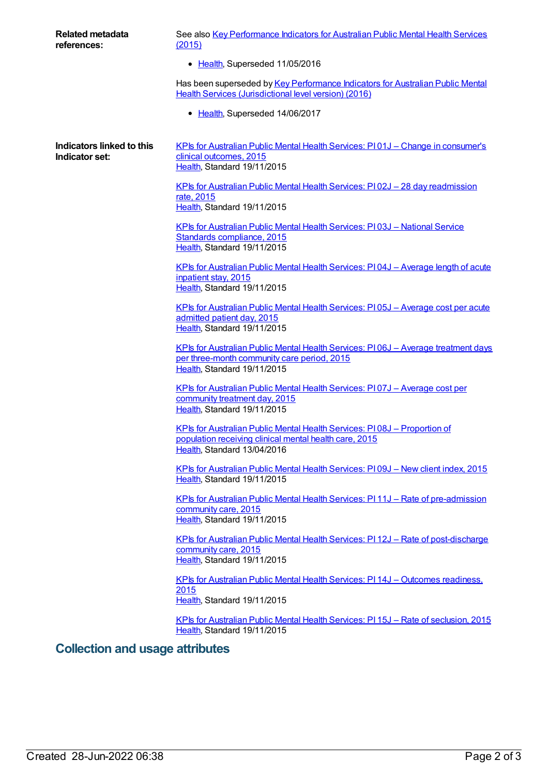| Related metadata<br>references:             | See also Key Performance Indicators for Australian Public Mental Health Services<br>(2015)                                                                             |  |  |
|---------------------------------------------|------------------------------------------------------------------------------------------------------------------------------------------------------------------------|--|--|
|                                             | • Health, Superseded 11/05/2016                                                                                                                                        |  |  |
|                                             | Has been superseded by Key Performance Indicators for Australian Public Mental<br>Health Services (Jurisdictional level version) (2016)                                |  |  |
|                                             | • Health, Superseded 14/06/2017                                                                                                                                        |  |  |
| Indicators linked to this<br>Indicator set: | KPIs for Australian Public Mental Health Services: P101J - Change in consumer's<br>clinical outcomes, 2015<br>Health, Standard 19/11/2015                              |  |  |
|                                             | <u>KPIs for Australian Public Mental Health Services: PI02J - 28 day readmission</u><br>rate, 2015<br>Health, Standard 19/11/2015                                      |  |  |
|                                             | KPIs for Australian Public Mental Health Services: PI03J - National Service<br>Standards compliance, 2015<br>Health, Standard 19/11/2015                               |  |  |
|                                             | <u> KPIs for Australian Public Mental Health Services: PI04J – Average length of acute</u><br>inpatient stay, 2015<br>Health, Standard 19/11/2015                      |  |  |
|                                             | <u> KPIs for Australian Public Mental Health Services: PI 05J - Average cost per acute</u><br>admitted patient day, 2015<br>Health, Standard 19/11/2015                |  |  |
|                                             | <b>KPIs for Australian Public Mental Health Services: PI06J - Average treatment days</b><br>per three-month community care period, 2015<br>Health, Standard 19/11/2015 |  |  |
|                                             | KPIs for Australian Public Mental Health Services: PI07J - Average cost per<br>community treatment day, 2015<br>Health, Standard 19/11/2015                            |  |  |
|                                             | KPIs for Australian Public Mental Health Services: PI08J - Proportion of<br>population receiving clinical mental health care, 2015<br>Health, Standard 13/04/2016      |  |  |
|                                             | KPIs for Australian Public Mental Health Services: PI09J - New client index, 2015<br>Health, Standard 19/11/2015                                                       |  |  |
|                                             | KPIs for Australian Public Mental Health Services: PI 11J - Rate of pre-admission<br>community care, 2015<br>Health, Standard 19/11/2015                               |  |  |
|                                             | <u>KPIs for Australian Public Mental Health Services: PI 12J – Rate of post-discharge</u><br>community care, 2015<br>Health, Standard 19/11/2015                       |  |  |
|                                             | KPIs for Australian Public Mental Health Services: PI 14J - Outcomes readiness,<br>2015<br>Health, Standard 19/11/2015                                                 |  |  |
|                                             | KPIs for Australian Public Mental Health Services: PI 15J - Rate of seclusion, 2015<br>Health, Standard 19/11/2015                                                     |  |  |
| Collection and usage attributes             |                                                                                                                                                                        |  |  |

## **Collection and usage attributes**